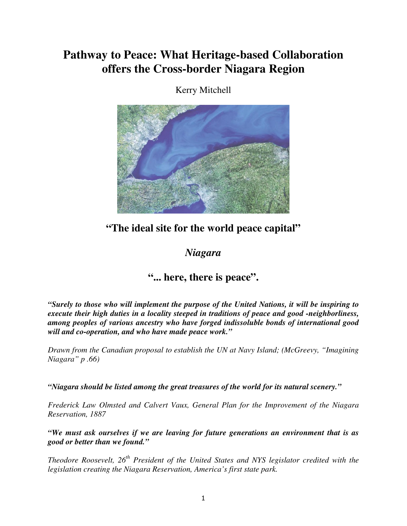# **Pathway to Peace: What Heritage-based Collaboration offers the Cross-border Niagara Region**



Kerry Mitchell

**"The ideal site for the world peace capital"**

## *Niagara*

## **"... here, there is peace".**

*"Surely to those who will implement the purpose of the United Nations, it will be inspiring to execute their high duties in a locality steeped in traditions of peace and good -neighborliness, among peoples of various ancestry who have forged indissoluble bonds of international good will and co-operation, and who have made peace work."*

*Drawn from the Canadian proposal to establish the UN at Navy Island; (McGreevy, "Imagining Niagara" p .66)*

*"Niagara should be listed among the great treasures of the world for its natural scenery."*

*Frederick Law Olmsted and Calvert Vaux, General Plan for the Improvement of the Niagara Reservation, 1887*

*"We must ask ourselves if we are leaving for future generations an environment that is as good or better than we found."*

*Theodore Roosevelt, 26 th President of the United States and NYS legislator credited with the legislation creating the Niagara Reservation, America's first state park.*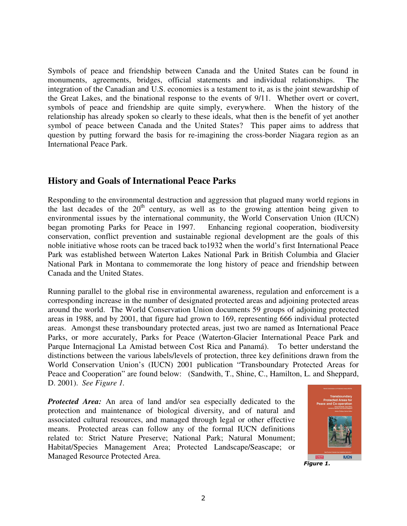monuments, agreements, bridges, official statements and individual relationships. The integration of the Canadian and U.S. economies is a testament to it, as is the joint stewardship of the Great Lakes, and the binational response to the events of 9/11. Whether overt or covert, symbols of peace and friendship are quite simply, everywhere. When the history of the relationship has already spoken so clearly to these ideals, what then is the benefit of yet another symbol of peace between Canada and the United States? This paper aims to address that question by putting forward the basis for re-imagining the cross-border Niagara region as an International Peace Park.

#### **History and Goals of International Peace Parks**

Responding to the environmental destruction and aggression that plagued many world regions in the last decades of the  $20<sup>th</sup>$  century, as well as to the growing attention being given to environmental issues by the international community, the World Conservation Union (IUCN) began promoting Parks for Peace in 1997. Enhancing regional cooperation, biodiversity conservation, conflict prevention and sustainable regional development are the goals of this noble initiative whose roots can be traced back to1932 when the world's first International Peace Park was established between Waterton Lakes National Park in British Columbia and Glacier National Park in Montana to commemorate the long history of peace and friendship between Canada and the United States.

Symbols of peace and friendship between Canada and the United States can be found in<br>Symbols of peace and friendship between Canada and the United States can be found in<br>the treat rates, and the binardinal response is a f Running parallel to the global rise in environmental awareness, regulation and enforcement is a corresponding increase in the number of designated protected areas and adjoining protected areas around the world. The World Conservation Union documents 59 groups of adjoining protected areas in 1988, and by 2001, that figure had grown to 169, representing 666 individual protected areas. Amongst these transboundary protected areas, just two are named as International Peace Parks, or more accurately, Parks for Peace (Waterton-Glacier International Peace Park and Parque Internacional La Amistad between Cost Rica and Panamá). To better understand the distinctions between the various labels/levels of protection, three key definitions drawn from the World Conservation Union's (IUCN) 2001 publication "Transboundary Protected Areas for Peace and Cooperation" are found below: (Sandwith, T., Shine, C., Hamilton, L. and Sheppard, D. 2001). *See Figure 1.*

*Protected Area:* An area of land and/or sea especially dedicated to the protection and maintenance of biological diversity, and of natural and associated cultural resources, and managed through legal or other effective means. Protected areas can follow any of the formal IUCN definitions related to: Strict Nature Preserve; National Park; Natural Monument; Habitat/Species Management Area; Protected Landscape/Seascape; or Managed Resource Protected Area.



Figure 1.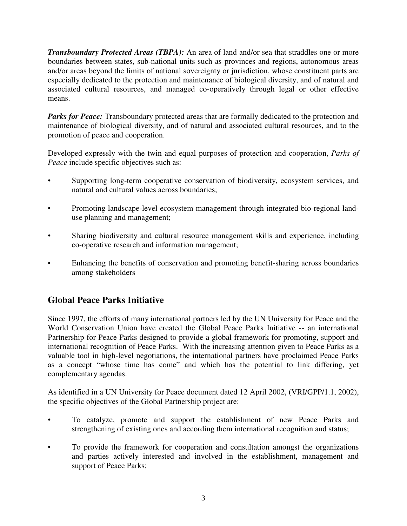*Transboundary Protected Areas (TBPA):* An area of land and/or sea that straddles one or more boundaries between states, sub-national units such as provinces and regions, autonomous areas and/or areas beyond the limits of national sovereignty or jurisdiction, whose constituent parts are especially dedicated to the protection and maintenance of biological diversity, and of natural and associated cultural resources, and managed co-operatively through legal or other effective means.

*Parks for Peace:* Transboundary protected areas that are formally dedicated to the protection and maintenance of biological diversity, and of natural and associated cultural resources, and to the promotion of peace and cooperation.

Developed expressly with the twin and equal purposes of protection and cooperation, *Parks of Peace* include specific objectives such as:

- Supporting long-term cooperative conservation of biodiversity, ecosystem services, and natural and cultural values across boundaries;
- Promoting landscape-level ecosystem management through integrated bio-regional landuse planning and management;
- Sharing biodiversity and cultural resource management skills and experience, including co-operative research and information management;
- Enhancing the benefits of conservation and promoting benefit-sharing across boundaries among stakeholders

## **Global Peace Parks Initiative**

Since 1997, the efforts of many international partners led by the UN University for Peace and the World Conservation Union have created the Global Peace Parks Initiative -- an international Partnership for Peace Parks designed to provide a global framework for promoting, support and international recognition of Peace Parks. With the increasing attention given to Peace Parks as a valuable tool in high-level negotiations, the international partners have proclaimed Peace Parks as a concept "whose time has come" and which has the potential to link differing, yet complementary agendas.

As identified in a UN University for Peace document dated 12 April 2002, (VRI/GPP/1.1, 2002), the specific objectives of the Global Partnership project are:

- To catalyze, promote and support the establishment of new Peace Parks and strengthening of existing ones and according them international recognition and status;
- To provide the framework for cooperation and consultation amongst the organizations and parties actively interested and involved in the establishment, management and support of Peace Parks;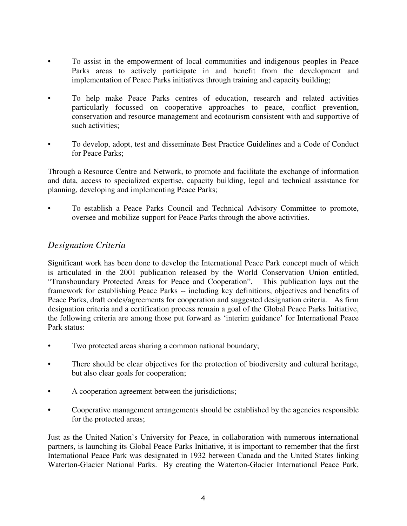- To assist in the empowerment of local communities and indigenous peoples in Peace Parks areas to actively participate in and benefit from the development and implementation of Peace Parks initiatives through training and capacity building;
- To help make Peace Parks centres of education, research and related activities particularly focussed on cooperative approaches to peace, conflict prevention, conservation and resource management and ecotourism consistent with and supportive of such activities;
- To develop, adopt, test and disseminate Best Practice Guidelines and a Code of Conduct for Peace Parks;

Through a Resource Centre and Network, to promote and facilitate the exchange of information and data, access to specialized expertise, capacity building, legal and technical assistance for planning, developing and implementing Peace Parks;

• To establish a Peace Parks Council and Technical Advisory Committee to promote, oversee and mobilize support for Peace Parks through the above activities.

### *Designation Criteria*

Significant work has been done to develop the International Peace Park concept much of which is articulated in the 2001 publication released by the World Conservation Union entitled, "Transboundary Protected Areas for Peace and Cooperation". This publication lays out the framework for establishing Peace Parks -- including key definitions, objectives and benefits of Peace Parks, draft codes/agreements for cooperation and suggested designation criteria. As firm designation criteria and a certification process remain a goal of the Global Peace Parks Initiative, the following criteria are among those put forward as 'interim guidance' for International Peace Park status:

- Two protected areas sharing a common national boundary;
- There should be clear objectives for the protection of biodiversity and cultural heritage, but also clear goals for cooperation;
- A cooperation agreement between the jurisdictions;
- **•** Cooperative management arrangements should be established by the agencies responsible for the protected areas;

Just as the United Nation's University for Peace, in collaboration with numerous international partners, is launching its Global Peace Parks Initiative, it is important to remember that the first International Peace Park was designated in 1932 between Canada and the United States linking Waterton-Glacier National Parks. By creating the Waterton-Glacier International Peace Park,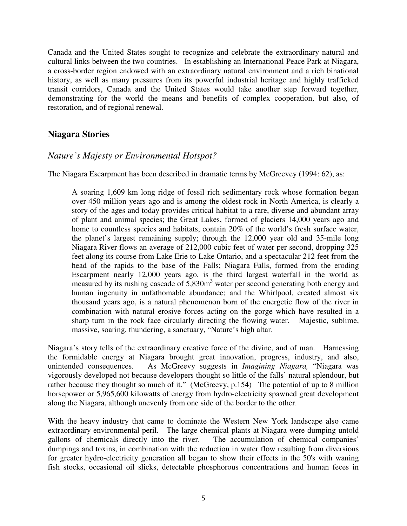Canada and the United States sought to recognize and celebrate the extraordinary natural and cultural links between the two countries. In establishing an International Peace Park at Niagara, a cross-border region endowed with an extraordinary natural environment and a rich binational history, as well as many pressures from its powerful industrial heritage and highly trafficked transit corridors, Canada and the United States would take another step forward together, demonstrating for the world the means and benefits of complex cooperation, but also, of restoration, and of regional renewal.

#### **Niagara Stories**

#### *Nature's Majesty or Environmental Hotspot?*

The Niagara Escarpment has been described in dramatic terms by McGreevey (1994: 62), as:

A soaring 1,609 km long ridge of fossil rich sedimentary rock whose formation began over 450 million years ago and is among the oldest rock in North America, is clearly a story of the ages and today provides critical habitat to a rare, diverse and abundant array of plant and animal species; the Great Lakes, formed of glaciers 14,000 years ago and home to countless species and habitats, contain 20% of the world's fresh surface water, the planet's largest remaining supply; through the 12,000 year old and 35-mile long Niagara River flows an average of 212,000 cubic feet of water per second, dropping 325 feet along its course from Lake Erie to Lake Ontario, and a spectacular 212 feet from the head of the rapids to the base of the Falls; Niagara Falls, formed from the eroding Escarpment nearly 12,000 years ago, is the third largest waterfall in the world as measured by its rushing cascade of 5,830m<sup>3</sup> water per second generating both energy and human ingenuity in unfathomable abundance; and the Whirlpool, created almost six thousand years ago, is a natural phenomenon born of the energetic flow of the river in combination with natural erosive forces acting on the gorge which have resulted in a sharp turn in the rock face circularly directing the flowing water. Majestic, sublime, massive, soaring, thundering, a sanctuary, "Nature's high altar.

Niagara's story tells of the extraordinary creative force of the divine, and of man. Harnessing the formidable energy at Niagara brought great innovation, progress, industry, and also, unintended consequences. As McGreevy suggests in *Imagining Niagara,* "Niagara was vigorously developed not because developers thought so little of the falls' natural splendour, but rather because they thought so much of it." (McGreevy, p.154) The potential of up to 8 million horsepower or 5,965,600 kilowatts of energy from hydro-electricity spawned great development along the Niagara, although unevenly from one side of the border to the other.

With the heavy industry that came to dominate the Western New York landscape also came extraordinary environmental peril. The large chemical plants at Niagara were dumping untold gallons of chemicals directly into the river. The accumulation of chemical companies' dumpings and toxins, in combination with the reduction in water flow resulting from diversions for greater hydro-electricity generation all began to show their effects in the 50's with waning fish stocks, occasional oil slicks, detectable phosphorous concentrations and human feces in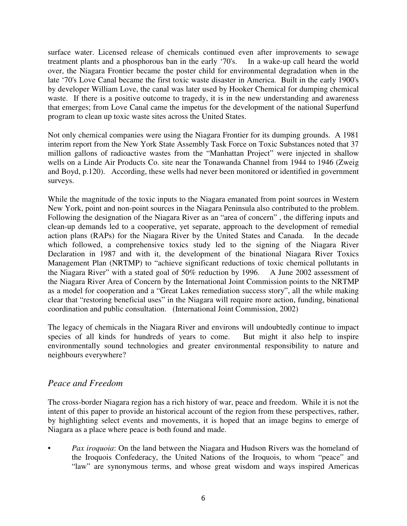surface water. Licensed release of chemicals continued even after improvements to sewage treatment plants and a phosphorous ban in the early '70's. In a wake-up call heard the world over, the Niagara Frontier became the poster child for environmental degradation when in the late '70's Love Canal became the first toxic waste disaster in America. Built in the early 1900's by developer William Love, the canal was later used by Hooker Chemical for dumping chemical waste. If there is a positive outcome to tragedy, it is in the new understanding and awareness that emerges; from Love Canal came the impetus for the development of the national Superfund program to clean up toxic waste sites across the United States.

Not only chemical companies were using the Niagara Frontier for its dumping grounds. A 1981 interim report from the New York State Assembly Task Force on Toxic Substances noted that 37 million gallons of radioactive wastes from the "Manhattan Project" were injected in shallow wells on a Linde Air Products Co. site near the Tonawanda Channel from 1944 to 1946 (Zweig and Boyd, p.120). According, these wells had never been monitored or identified in government surveys.

While the magnitude of the toxic inputs to the Niagara emanated from point sources in Western New York, point and non-point sources in the Niagara Peninsula also contributed to the problem. Following the designation of the Niagara River as an "area of concern" , the differing inputs and clean-up demands led to a cooperative, yet separate, approach to the development of remedial action plans (RAPs) for the Niagara River by the United States and Canada. In the decade which followed, a comprehensive toxics study led to the signing of the Niagara River Declaration in 1987 and with it, the development of the binational Niagara River Toxics Management Plan (NRTMP) to "achieve significant reductions of toxic chemical pollutants in the Niagara River" with a stated goal of 50% reduction by 1996. A June 2002 assessment of the Niagara River Area of Concern by the International Joint Commission points to the NRTMP as a model for cooperation and a "Great Lakes remediation success story", all the while making clear that "restoring beneficial uses" in the Niagara will require more action, funding, binational coordination and public consultation. (International Joint Commission, 2002)

The legacy of chemicals in the Niagara River and environs will undoubtedly continue to impact species of all kinds for hundreds of years to come. But might it also help to inspire environmentally sound technologies and greater environmental responsibility to nature and neighbours everywhere?

#### *Peace and Freedom*

The cross-border Niagara region has a rich history of war, peace and freedom. While it is not the intent of this paper to provide an historical account of the region from these perspectives, rather, by highlighting select events and movements, it is hoped that an image begins to emerge of Niagara as a place where peace is both found and made.

• *Pax iroquoia*: On the land between the Niagara and Hudson Rivers was the homeland of the Iroquois Confederacy, the United Nations of the Iroquois, to whom "peace" and "law" are synonymous terms, and whose great wisdom and ways inspired Americas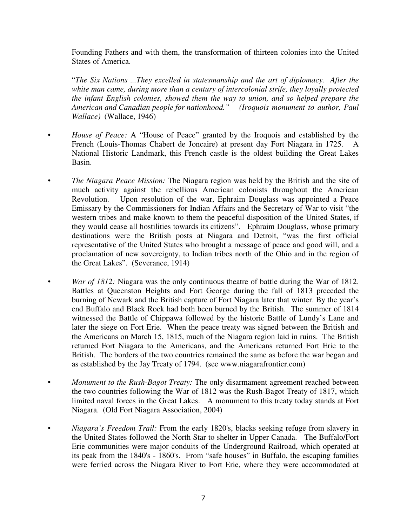Founding Fathers and with them, the transformation of thirteen colonies into the United States of America.

"*The Six Nations ...They excelled in statesmanship and the art of diplomacy. After the white man came, during more than a century of intercolonial strife, they loyally protected the infant English colonies, showed them the way to union, and so helped prepare the American and Canadian people for nationhood." (Iroquois monument to author, Paul Wallace)* (Wallace, 1946)

- *House of Peace:* A "House of Peace" granted by the Iroquois and established by the French (Louis-Thomas Chabert de Joncaire) at present day Fort Niagara in 1725. A National Historic Landmark, this French castle is the oldest building the Great Lakes Basin.
- *The Niagara Peace Mission:* The Niagara region was held by the British and the site of much activity against the rebellious American colonists throughout the American Revolution. Upon resolution of the war, Ephraim Douglass was appointed a Peace Emissary by the Commissioners for Indian Affairs and the Secretary of War to visit "the western tribes and make known to them the peaceful disposition of the United States, if they would cease all hostilities towards its citizens". Ephraim Douglass, whose primary destinations were the British posts at Niagara and Detroit, "was the first official representative of the United States who brought a message of peace and good will, and a proclamation of new sovereignty, to Indian tribes north of the Ohio and in the region of the Great Lakes". (Severance, 1914)
- *War of 1812:* Niagara was the only continuous theatre of battle during the War of 1812. Battles at Queenston Heights and Fort George during the fall of 1813 preceded the burning of Newark and the British capture of Fort Niagara later that winter. By the year's end Buffalo and Black Rock had both been burned by the British. The summer of 1814 witnessed the Battle of Chippawa followed by the historic Battle of Lundy's Lane and later the siege on Fort Erie. When the peace treaty was signed between the British and the Americans on March 15, 1815, much of the Niagara region laid in ruins. The British returned Fort Niagara to the Americans, and the Americans returned Fort Erie to the British. The borders of the two countries remained the same as before the war began and as established by the Jay Treaty of 1794. (see www.niagarafrontier.com)
- **•** *Monument to the Rush-Bagot Treaty:* The only disarmament agreement reached between the two countries following the War of 1812 was the Rush-Bagot Treaty of 1817, which limited naval forces in the Great Lakes. A monument to this treaty today stands at Fort Niagara. (Old Fort Niagara Association, 2004)
- *Niagara's Freedom Trail:* From the early 1820's, blacks seeking refuge from slavery in the United States followed the North Star to shelter in Upper Canada. The Buffalo/Fort Erie communities were major conduits of the Underground Railroad, which operated at its peak from the 1840's - 1860's. From "safe houses" in Buffalo, the escaping families were ferried across the Niagara River to Fort Erie, where they were accommodated at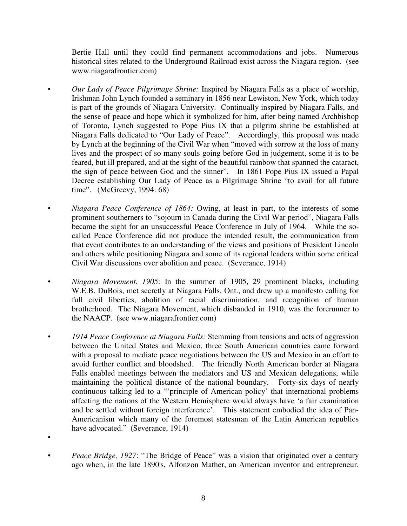Bertie Hall until they could find permanent accommodations and jobs. Numerous historical sites related to the Underground Railroad exist across the Niagara region. (see www.niagarafrontier.com)

- *Our Lady of Peace Pilgrimage Shrine:* Inspired by Niagara Falls as a place of worship, Irishman John Lynch founded a seminary in 1856 near Lewiston, New York, which today is part of the grounds of Niagara University. Continually inspired by Niagara Falls, and the sense of peace and hope which it symbolized for him, after being named Archbishop of Toronto, Lynch suggested to Pope Pius IX that a pilgrim shrine be established at Niagara Falls dedicated to "Our Lady of Peace". Accordingly, this proposal was made by Lynch at the beginning of the Civil War when "moved with sorrow at the loss of many lives and the prospect of so many souls going before God in judgement, some it is to be feared, but ill prepared, and at the sight of the beautiful rainbow that spanned the cataract, the sign of peace between God and the sinner". In 1861 Pope Pius IX issued a Papal Decree establishing Our Lady of Peace as a Pilgrimage Shrine "to avail for all future time". (McGreevy, 1994: 68)
- *Niagara Peace Conference of 1864:* Owing, at least in part, to the interests of some prominent southerners to "sojourn in Canada during the Civil War period", Niagara Falls became the sight for an unsuccessful Peace Conference in July of 1964. While the socalled Peace Conference did not produce the intended result, the communication from that event contributes to an understanding of the views and positions of President Lincoln and others while positioning Niagara and some of its regional leaders within some critical Civil War discussions over abolition and peace. (Severance, 1914)
- *Niagara Movement*, *1905*: In the summer of 1905, 29 prominent blacks, including W.E.B. DuBois, met secretly at Niagara Falls, Ont., and drew up a manifesto calling for full civil liberties, abolition of racial discrimination, and recognition of human brotherhood. The Niagara Movement, which disbanded in 1910, was the forerunner to the NAACP. (see www.niagarafrontier.com)
- *1914 Peace Conference at Niagara Falls:* Stemming from tensions and acts of aggression between the United States and Mexico, three South American countries came forward with a proposal to mediate peace negotiations between the US and Mexico in an effort to avoid further conflict and bloodshed. The friendly North American border at Niagara Falls enabled meetings between the mediators and US and Mexican delegations, while maintaining the political distance of the national boundary. Forty-six days of nearly continuous talking led to a "'principle of American policy' that international problems affecting the nations of the Western Hemisphere would always have 'a fair examination and be settled without foreign interference'. This statement embodied the idea of Pan-Americanism which many of the foremost statesman of the Latin American republics have advocated." (Severance, 1914)
- - *Peace Bridge, 1927*: "The Bridge of Peace" was a vision that originated over a century ago when, in the late 1890's, Alfonzon Mather, an American inventor and entrepreneur,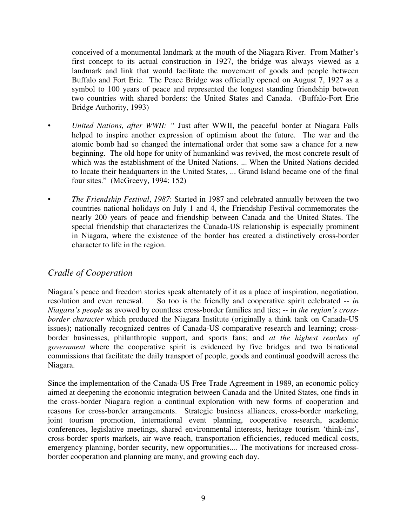conceived of a monumental landmark at the mouth of the Niagara River. From Mather's first concept to its actual construction in 1927, the bridge was always viewed as a landmark and link that would facilitate the movement of goods and people between Buffalo and Fort Erie. The Peace Bridge was officially opened on August 7, 1927 as a symbol to 100 years of peace and represented the longest standing friendship between two countries with shared borders: the United States and Canada. (Buffalo-Fort Erie Bridge Authority, 1993)

- *United Nations, after WWII: "* Just after WWII, the peaceful border at Niagara Falls helped to inspire another expression of optimism about the future. The war and the atomic bomb had so changed the international order that some saw a chance for a new beginning. The old hope for unity of humankind was revived, the most concrete result of which was the establishment of the United Nations. ... When the United Nations decided to locate their headquarters in the United States, ... Grand Island became one of the final four sites." (McGreevy, 1994: 152)
- *The Friendship Festival*, *1987*: Started in 1987 and celebrated annually between the two countries national holidays on July 1 and 4, the Friendship Festival commemorates the nearly 200 years of peace and friendship between Canada and the United States. The special friendship that characterizes the Canada-US relationship is especially prominent in Niagara, where the existence of the border has created a distinctively cross-border character to life in the region.

## *Cradle of Cooperation*

Niagara's peace and freedom stories speak alternately of it as a place of inspiration, negotiation, resolution and even renewal. So too is the friendly and cooperative spirit celebrated -- *in Niagara's people* as avowed by countless cross-border families and ties; -- in *the region's crossborder character* which produced the Niagara Institute (originally a think tank on Canada-US issues); nationally recognized centres of Canada-US comparative research and learning; crossborder businesses, philanthropic support, and sports fans; and *at the highest reaches of government* where the cooperative spirit is evidenced by five bridges and two binational commissions that facilitate the daily transport of people, goods and continual goodwill across the Niagara.

Since the implementation of the Canada-US Free Trade Agreement in 1989, an economic policy aimed at deepening the economic integration between Canada and the United States, one finds in the cross-border Niagara region a continual exploration with new forms of cooperation and reasons for cross-border arrangements. Strategic business alliances, cross-border marketing, joint tourism promotion, international event planning, cooperative research, academic conferences, legislative meetings, shared environmental interests, heritage tourism 'think-ins', cross-border sports markets, air wave reach, transportation efficiencies, reduced medical costs, emergency planning, border security, new opportunities.... The motivations for increased crossborder cooperation and planning are many, and growing each day.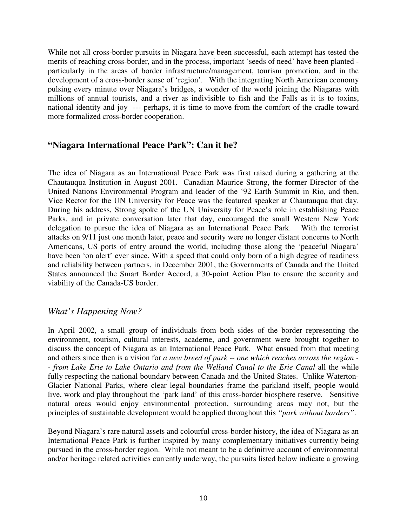While not all cross-border pursuits in Niagara have been successful, each attempt has tested the merits of reaching cross-border, and in the process, important 'seeds of need' have been planted particularly in the areas of border infrastructure/management, tourism promotion, and in the development of a cross-border sense of 'region'. With the integrating North American economy pulsing every minute over Niagara's bridges, a wonder of the world joining the Niagaras with millions of annual tourists, and a river as indivisible to fish and the Falls as it is to toxins, national identity and joy --- perhaps, it is time to move from the comfort of the cradle toward more formalized cross-border cooperation.

### **"Niagara International Peace Park": Can it be?**

The idea of Niagara as an International Peace Park was first raised during a gathering at the Chautauqua Institution in August 2001. Canadian Maurice Strong, the former Director of the United Nations Environmental Program and leader of the '92 Earth Summit in Rio, and then, Vice Rector for the UN University for Peace was the featured speaker at Chautauqua that day. During his address, Strong spoke of the UN University for Peace's role in establishing Peace Parks, and in private conversation later that day, encouraged the small Western New York delegation to pursue the idea of Niagara as an International Peace Park. With the terrorist attacks on 9/11 just one month later, peace and security were no longer distant concerns to North Americans, US ports of entry around the world, including those along the 'peaceful Niagara' have been 'on alert' ever since. With a speed that could only born of a high degree of readiness and reliability between partners, in December 2001, the Governments of Canada and the United States announced the Smart Border Accord, a 30-point Action Plan to ensure the security and viability of the Canada-US border.

#### *What's Happening Now?*

In April 2002, a small group of individuals from both sides of the border representing the environment, tourism, cultural interests, academe, and government were brought together to discuss the concept of Niagara as an International Peace Park. What ensued from that meeting and others since then is a vision for *a new breed of park -*- *one which reaches across the region - - from Lake Erie to Lake Ontario and from the Welland Canal to the Erie Canal* all the while fully respecting the national boundary between Canada and the United States. Unlike Waterton-Glacier National Parks, where clear legal boundaries frame the parkland itself, people would live, work and play throughout the 'park land' of this cross-border biosphere reserve. Sensitive natural areas would enjoy environmental protection, surrounding areas may not, but the principles of sustainable development would be applied throughout this *"park without borders"*.

Beyond Niagara's rare natural assets and colourful cross-border history, the idea of Niagara as an International Peace Park is further inspired by many complementary initiatives currently being pursued in the cross-border region. While not meant to be a definitive account of environmental and/or heritage related activities currently underway, the pursuits listed below indicate a growing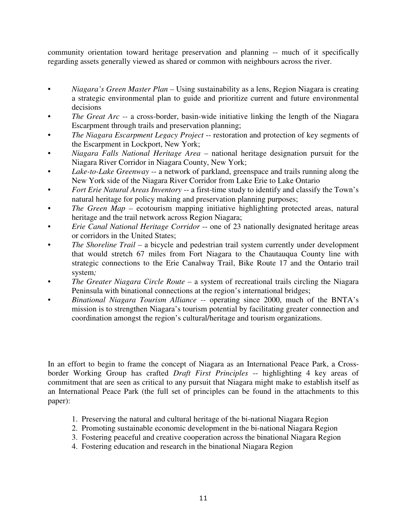community orientation toward heritage preservation and planning -- much of it specifically regarding assets generally viewed as shared or common with neighbours across the river.

- *Niagara's Green Master Plan –* Using sustainability as a lens, Region Niagara is creating a strategic environmental plan to guide and prioritize current and future environmental decisions
- *The Great Arc --* a cross-border, basin-wide initiative linking the length of the Niagara Escarpment through trails and preservation planning;
- *The Niagara Escarpment Legacy Project* -- restoration and protection of key segments of the Escarpment in Lockport, New York;
- *Niagara Falls National Heritage Area –* national heritage designation pursuit for the Niagara River Corridor in Niagara County, New York;
- *Lake-to-Lake Greenway* -- a network of parkland, greenspace and trails running along the New York side of the Niagara River Corridor from Lake Erie to Lake Ontario
- *Fort Erie Natural Areas Inventory* -- a first-time study to identify and classify the Town's natural heritage for policy making and preservation planning purposes;
- *The Green Map –* ecotourism mapping initiative highlighting protected areas, natural heritage and the trail network across Region Niagara;
- *Erie Canal National Heritage Corridor* -- one of 23 nationally designated heritage areas or corridors in the United States;
- *• The Shoreline Trail –* a bicycle and pedestrian trail system currently under development that would stretch 67 miles from Fort Niagara to the Chautauqua County line with strategic connections to the Erie Canalway Trail, Bike Route 17 and the Ontario trail system*;*
- *The Greater Niagara Circle Route –* a system of recreational trails circling the Niagara Peninsula with binational connections at the region's international bridges;
- *Binational Niagara Tourism Alliance --* operating since 2000, much of the BNTA's mission is to strengthen Niagara's tourism potential by facilitating greater connection and coordination amongst the region's cultural/heritage and tourism organizations.

In an effort to begin to frame the concept of Niagara as an International Peace Park, a Crossborder Working Group has crafted *Draft First Principles* -- highlighting 4 key areas of commitment that are seen as critical to any pursuit that Niagara might make to establish itself as an International Peace Park (the full set of principles can be found in the attachments to this paper):

- 1. Preserving the natural and cultural heritage of the bi-national Niagara Region
- 2. Promoting sustainable economic development in the bi-national Niagara Region
- 3. Fostering peaceful and creative cooperation across the binational Niagara Region
- 4. Fostering education and research in the binational Niagara Region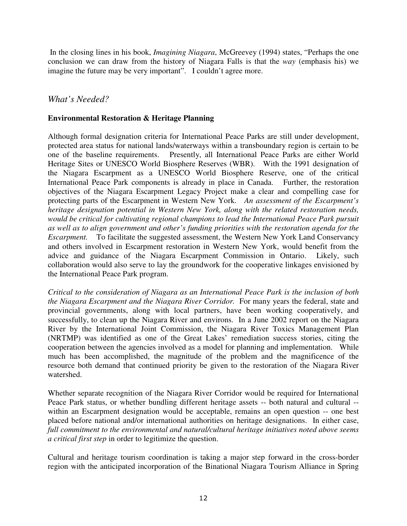In the closing lines in his book, *Imagining Niagara*, McGreevey (1994) states, "Perhaps the one conclusion we can draw from the history of Niagara Falls is that the *way* (emphasis his) we imagine the future may be very important". I couldn't agree more.

#### *What's Needed?*

#### **Environmental Restoration & Heritage Planning**

Although formal designation criteria for International Peace Parks are still under development, protected area status for national lands/waterways within a transboundary region is certain to be one of the baseline requirements. Presently, all International Peace Parks are either World Heritage Sites or UNESCO World Biosphere Reserves (WBR). With the 1991 designation of the Niagara Escarpment as a UNESCO World Biosphere Reserve, one of the critical International Peace Park components is already in place in Canada. Further, the restoration objectives of the Niagara Escarpment Legacy Project make a clear and compelling case for protecting parts of the Escarpment in Western New York. *An assessment of the Escarpment's heritage designation potential in Western New York, along with the related restoration needs, would be critical for cultivating regional champions to lead the International Peace Park pursuit as well as to align government and other's funding priorities with the restoration agenda for the Escarpment.* To facilitate the suggested assessment, the Western New York Land Conservancy and others involved in Escarpment restoration in Western New York, would benefit from the advice and guidance of the Niagara Escarpment Commission in Ontario. Likely, such collaboration would also serve to lay the groundwork for the cooperative linkages envisioned by the International Peace Park program.

*Critical to the consideration of Niagara as an International Peace Park is the inclusion of both the Niagara Escarpment and the Niagara River Corridor.* For many years the federal, state and provincial governments, along with local partners, have been working cooperatively, and successfully, to clean up the Niagara River and environs. In a June 2002 report on the Niagara River by the International Joint Commission, the Niagara River Toxics Management Plan (NRTMP) was identified as one of the Great Lakes' remediation success stories, citing the cooperation between the agencies involved as a model for planning and implementation. While much has been accomplished, the magnitude of the problem and the magnificence of the resource both demand that continued priority be given to the restoration of the Niagara River watershed.

Whether separate recognition of the Niagara River Corridor would be required for International Peace Park status, or whether bundling different heritage assets -- both natural and cultural - within an Escarpment designation would be acceptable, remains an open question -- one best placed before national and/or international authorities on heritage designations. In either case, *full commitment to the environmental and natural/cultural heritage initiatives noted above seems a critical first step* in order to legitimize the question.

Cultural and heritage tourism coordination is taking a major step forward in the cross-border region with the anticipated incorporation of the Binational Niagara Tourism Alliance in Spring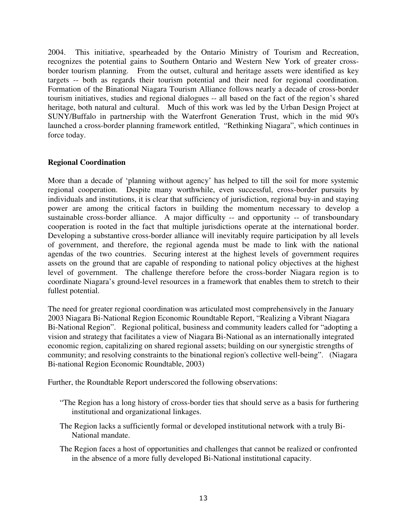2004. This initiative, spearheaded by the Ontario Ministry of Tourism and Recreation, recognizes the potential gains to Southern Ontario and Western New York of greater crossborder tourism planning. From the outset, cultural and heritage assets were identified as key targets -- both as regards their tourism potential and their need for regional coordination. Formation of the Binational Niagara Tourism Alliance follows nearly a decade of cross-border tourism initiatives, studies and regional dialogues -- all based on the fact of the region's shared heritage, both natural and cultural. Much of this work was led by the Urban Design Project at SUNY/Buffalo in partnership with the Waterfront Generation Trust, which in the mid 90's launched a cross-border planning framework entitled, "Rethinking Niagara", which continues in force today.

#### **Regional Coordination**

More than a decade of 'planning without agency' has helped to till the soil for more systemic regional cooperation. Despite many worthwhile, even successful, cross-border pursuits by individuals and institutions, it is clear that sufficiency of jurisdiction, regional buy-in and staying power are among the critical factors in building the momentum necessary to develop a sustainable cross-border alliance. A major difficulty -- and opportunity -- of transboundary cooperation is rooted in the fact that multiple jurisdictions operate at the international border. Developing a substantive cross-border alliance will inevitably require participation by all levels of government, and therefore, the regional agenda must be made to link with the national agendas of the two countries. Securing interest at the highest levels of government requires assets on the ground that are capable of responding to national policy objectives at the highest level of government. The challenge therefore before the cross-border Niagara region is to coordinate Niagara's ground-level resources in a framework that enables them to stretch to their fullest potential.

The need for greater regional coordination was articulated most comprehensively in the January 2003 Niagara Bi-National Region Economic Roundtable Report, "Realizing a Vibrant Niagara Bi-National Region". Regional political, business and community leaders called for "adopting a vision and strategy that facilitates a view of Niagara Bi-National as an internationally integrated economic region, capitalizing on shared regional assets; building on our synergistic strengths of community; and resolving constraints to the binational region's collective well-being". (Niagara Bi-national Region Economic Roundtable, 2003)

Further, the Roundtable Report underscored the following observations:

- "The Region has a long history of cross-border ties that should serve as a basis for furthering institutional and organizational linkages.
- The Region lacks a sufficiently formal or developed institutional network with a truly Bi-National mandate.
- The Region faces a host of opportunities and challenges that cannot be realized or confronted in the absence of a more fully developed Bi-National institutional capacity.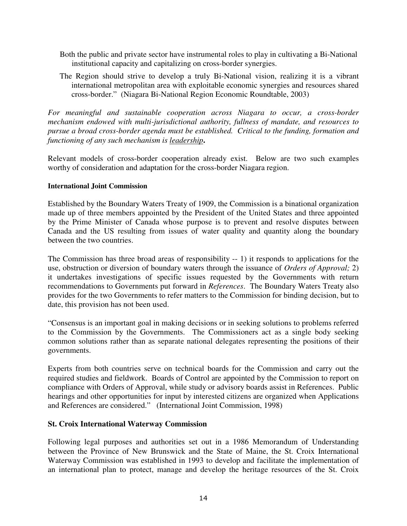- Both the public and private sector have instrumental roles to play in cultivating a Bi-National institutional capacity and capitalizing on cross-border synergies.
- The Region should strive to develop a truly Bi-National vision, realizing it is a vibrant international metropolitan area with exploitable economic synergies and resources shared cross-border." (Niagara Bi-National Region Economic Roundtable, 2003)

*For meaningful and sustainable cooperation across Niagara to occur, a cross-border mechanism endowed with multi-jurisdictional authority, fullness of mandate, and resources to pursue a broad cross-border agenda must be established. Critical to the funding, formation and functioning of any such mechanism is leadership***.**

Relevant models of cross-border cooperation already exist. Below are two such examples worthy of consideration and adaptation for the cross-border Niagara region.

#### **International Joint Commission**

Established by the Boundary Waters Treaty of 1909, the Commission is a binational organization made up of three members appointed by the President of the United States and three appointed by the Prime Minister of Canada whose purpose is to prevent and resolve disputes between Canada and the US resulting from issues of water quality and quantity along the boundary between the two countries.

The Commission has three broad areas of responsibility -- 1) it responds to applications for the use, obstruction or diversion of boundary waters through the issuance of *Orders of Approval;* 2) it undertakes investigations of specific issues requested by the Governments with return recommendations to Governments put forward in *References*. The Boundary Waters Treaty also provides for the two Governments to refer matters to the Commission for binding decision, but to date, this provision has not been used.

"Consensus is an important goal in making decisions or in seeking solutions to problems referred to the Commission by the Governments. The Commissioners act as a single body seeking common solutions rather than as separate national delegates representing the positions of their governments.

Experts from both countries serve on technical boards for the Commission and carry out the required studies and fieldwork. Boards of Control are appointed by the Commission to report on compliance with Orders of Approval, while study or advisory boards assist in References. Public hearings and other opportunities for input by interested citizens are organized when Applications and References are considered." (International Joint Commission, 1998)

#### **St. Croix International Waterway Commission**

Following legal purposes and authorities set out in a 1986 Memorandum of Understanding between the Province of New Brunswick and the State of Maine, the St. Croix International Waterway Commission was established in 1993 to develop and facilitate the implementation of an international plan to protect, manage and develop the heritage resources of the St. Croix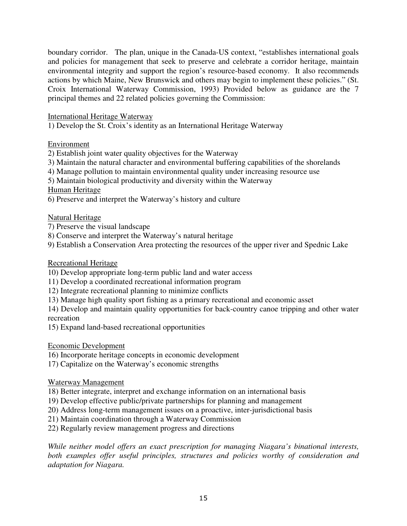boundary corridor. The plan, unique in the Canada-US context, "establishes international goals and policies for management that seek to preserve and celebrate a corridor heritage, maintain environmental integrity and support the region's resource-based economy. It also recommends actions by which Maine, New Brunswick and others may begin to implement these policies." (St. Croix International Waterway Commission, 1993) Provided below as guidance are the 7 principal themes and 22 related policies governing the Commission:

International Heritage Waterway

1) Develop the St. Croix's identity as an International Heritage Waterway

Environment

2) Establish joint water quality objectives for the Waterway

- 3) Maintain the natural character and environmental buffering capabilities of the shorelands
- 4) Manage pollution to maintain environmental quality under increasing resource use

5) Maintain biological productivity and diversity within the Waterway

Human Heritage

6) Preserve and interpret the Waterway's history and culture

Natural Heritage

7) Preserve the visual landscape

8) Conserve and interpret the Waterway's natural heritage

9) Establish a Conservation Area protecting the resources of the upper river and Spednic Lake

Recreational Heritage

10) Develop appropriate long-term public land and water access

- 11) Develop a coordinated recreational information program
- 12) Integrate recreational planning to minimize conflicts

13) Manage high quality sport fishing as a primary recreational and economic asset

14) Develop and maintain quality opportunities for back-country canoe tripping and other water recreation

15) Expand land-based recreational opportunities

Economic Development

16) Incorporate heritage concepts in economic development

17) Capitalize on the Waterway's economic strengths

Waterway Management

18) Better integrate, interpret and exchange information on an international basis

19) Develop effective public/private partnerships for planning and management

20) Address long-term management issues on a proactive, inter-jurisdictional basis

21) Maintain coordination through a Waterway Commission

22) Regularly review management progress and directions

*While neither model offers an exact prescription for managing Niagara's binational interests, both examples offer useful principles, structures and policies worthy of consideration and adaptation for Niagara.*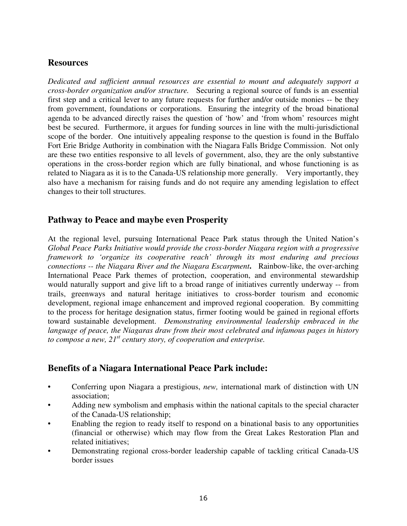## **Resources**

*Dedicated and sufficient annual resources are essential to mount and adequately support a cross-border organization and/or structure.* Securing a regional source of funds is an essential first step and a critical lever to any future requests for further and/or outside monies -- be they from government, foundations or corporations. Ensuring the integrity of the broad binational agenda to be advanced directly raises the question of 'how' and 'from whom' resources might best be secured. Furthermore, it argues for funding sources in line with the multi-jurisdictional scope of the border. One intuitively appealing response to the question is found in the Buffalo Fort Erie Bridge Authority in combination with the Niagara Falls Bridge Commission. Not only are these two entities responsive to all levels of government, also, they are the only substantive operations in the cross-border region which are fully binational, and whose functioning is as related to Niagara as it is to the Canada-US relationship more generally. Very importantly, they also have a mechanism for raising funds and do not require any amending legislation to effect changes to their toll structures.

### **Pathway to Peace and maybe even Prosperity**

At the regional level, pursuing International Peace Park status through the United Nation's *Global Peace Parks Initiative would provide the cross-border Niagara region with a progressive framework to 'organize its cooperative reach' through its most enduring and precious connections -- the Niagara River and the Niagara Escarpment***.** Rainbow-like, the over-arching International Peace Park themes of protection, cooperation, and environmental stewardship would naturally support and give lift to a broad range of initiatives currently underway -- from trails, greenways and natural heritage initiatives to cross-border tourism and economic development, regional image enhancement and improved regional cooperation. By committing to the process for heritage designation status, firmer footing would be gained in regional efforts toward sustainable development. *Demonstrating environmental leadership embraced in the language of peace, the Niagaras draw from their most celebrated and infamous pages in history to compose a new,*  $21^{st}$  *century story, of cooperation and enterprise.* 

## **Benefits of a Niagara International Peace Park include:**

- Conferring upon Niagara a prestigious, *new,* international mark of distinction with UN association;
- Adding new symbolism and emphasis within the national capitals to the special character of the Canada-US relationship;
- Enabling the region to ready itself to respond on a binational basis to any opportunities (financial or otherwise) which may flow from the Great Lakes Restoration Plan and related initiatives;
- Demonstrating regional cross-border leadership capable of tackling critical Canada-US border issues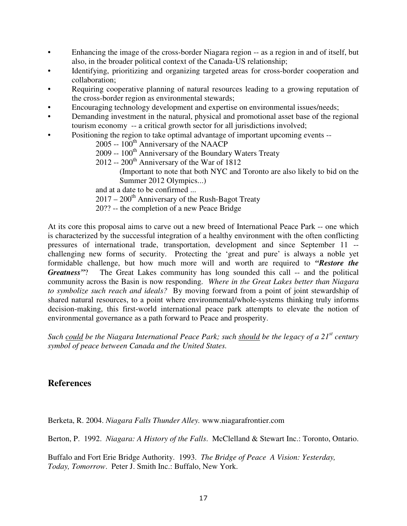- Enhancing the image of the cross-border Niagara region -- as a region in and of itself, but also, in the broader political context of the Canada-US relationship;
- Identifying, prioritizing and organizing targeted areas for cross-border cooperation and collaboration;
- Requiring cooperative planning of natural resources leading to a growing reputation of the cross-border region as environmental stewards;
- Encouraging technology development and expertise on environmental issues/needs;
- Demanding investment in the natural, physical and promotional asset base of the regional tourism economy -- a critical growth sector for all jurisdictions involved;
- Positioning the region to take optimal advantage of important upcoming events --
	- 2005 -- 100<sup>th</sup> Anniversary of the NAACP
	- 2009 -- 100<sup>th</sup> Anniversary of the Boundary Waters Treaty
	- 2012 -- 200<sup>th</sup> Anniversary of the War of 1812
		- (Important to note that both NYC and Toronto are also likely to bid on the Summer 2012 Olympics...)

and at a date to be confirmed ...

- $2017 200$ <sup>th</sup> Anniversary of the Rush-Bagot Treaty
- 20?? -- the completion of a new Peace Bridge

At its core this proposal aims to carve out a new breed of International Peace Park -- one which is characterized by the successful integration of a healthy environment with the often conflicting pressures of international trade, transportation, development and since September 11 - challenging new forms of security. Protecting the 'great and pure' is always a noble yet formidable challenge, but how much more will and worth are required to *"Restore the Greatness"*? The Great Lakes community has long sounded this call -- and the political community across the Basin is now responding. *Where in the Great Lakes better than Niagara to symbolize such reach and ideals?* By moving forward from a point of joint stewardship of shared natural resources, to a point where environmental/whole-systems thinking truly informs decision-making, this first-world international peace park attempts to elevate the notion of environmental governance as a path forward to Peace and prosperity.

*Such could be the Niagara International Peace Park; such should be the legacy of a 21 st century symbol of peace between Canada and the United States.*

#### **References**

Berketa, R. 2004. *Niagara Falls Thunder Alley.* www.niagarafrontier.com

Berton, P. 1992. *Niagara: A History of the Falls*. McClelland & Stewart Inc.: Toronto, Ontario.

Buffalo and Fort Erie Bridge Authority. 1993. *The Bridge of Peace A Vision: Yesterday, Today, Tomorrow*. Peter J. Smith Inc.: Buffalo, New York.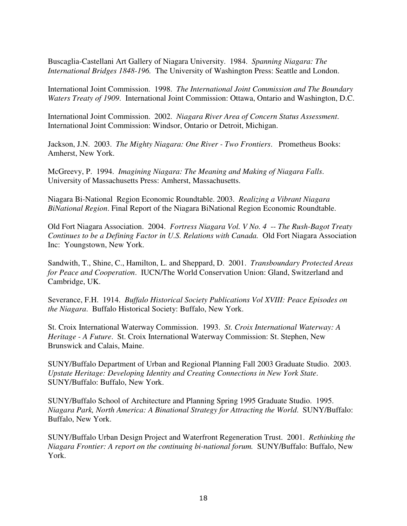Buscaglia-Castellani Art Gallery of Niagara University. 1984. *Spanning Niagara: The International Bridges 1848-196.* The University of Washington Press: Seattle and London.

International Joint Commission. 1998. *The International Joint Commission and The Boundary Waters Treaty of 1909*. International Joint Commission: Ottawa, Ontario and Washington, D.C.

International Joint Commission. 2002. *Niagara River Area of Concern Status Assessment*. International Joint Commission: Windsor, Ontario or Detroit, Michigan.

Jackson, J.N. 2003. *The Mighty Niagara: One River - Two Frontiers*. Prometheus Books: Amherst, New York.

McGreevy, P. 1994. *Imagining Niagara: The Meaning and Making of Niagara Falls*. University of Massachusetts Press: Amherst, Massachusetts.

Niagara Bi-National Region Economic Roundtable. 2003. *Realizing a Vibrant Niagara BiNational Region*. Final Report of the Niagara BiNational Region Economic Roundtable.

Old Fort Niagara Association. 2004. *Fortress Niagara Vol. V No. 4* -- *The Rush-Bagot Treaty Continues to be a Defining Factor in U.S. Relations with Canada.* Old Fort Niagara Association Inc: Youngstown, New York.

Sandwith, T., Shine, C., Hamilton, L. and Sheppard, D. 2001. *Transboundary Protected Areas for Peace and Cooperation*. IUCN/The World Conservation Union: Gland, Switzerland and Cambridge, UK.

Severance, F.H. 1914. *Buffalo Historical Society Publications Vol XVIII: Peace Episodes on the Niagara*. Buffalo Historical Society: Buffalo, New York.

St. Croix International Waterway Commission. 1993. *St. Croix International Waterway: A Heritage - A Future*. St. Croix International Waterway Commission: St. Stephen, New Brunswick and Calais, Maine.

SUNY/Buffalo Department of Urban and Regional Planning Fall 2003 Graduate Studio. 2003. *Upstate Heritage: Developing Identity and Creating Connections in New York State*. SUNY/Buffalo: Buffalo, New York.

SUNY/Buffalo School of Architecture and Planning Spring 1995 Graduate Studio. 1995. *Niagara Park, North America: A Binational Strategy for Attracting the World*. SUNY/Buffalo: Buffalo, New York.

SUNY/Buffalo Urban Design Project and Waterfront Regeneration Trust. 2001. *Rethinking the Niagara Frontier: A report on the continuing bi-national forum.* SUNY/Buffalo: Buffalo, New York.